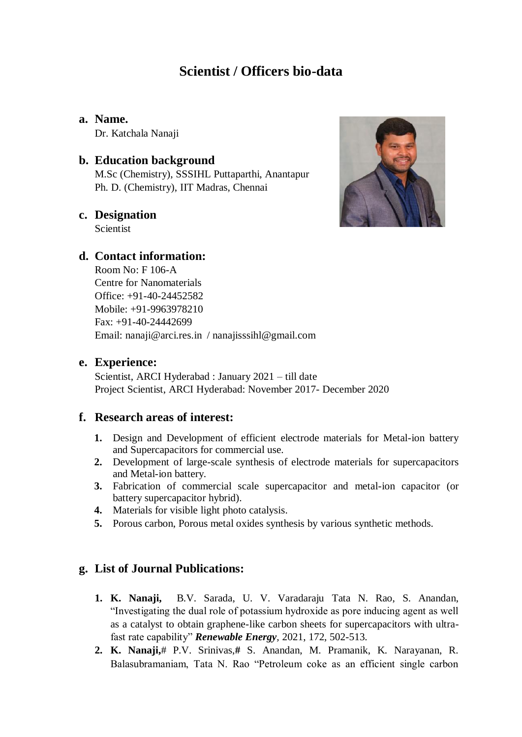# **Scientist / Officers bio-data**

**a. Name.** Dr. Katchala Nanaji

#### **b. Education background**

M.Sc (Chemistry), SSSIHL Puttaparthi, Anantapur Ph. D. (Chemistry), IIT Madras, Chennai

#### **c. Designation**

Scientist

## **d. Contact information:**

Room No: F 106-A Centre for Nanomaterials Office: +91-40-24452582 Mobile: +91-9963978210 Fax: +91-40-24442699 Email: nanaji@arci.res.in / nanajisssihl@gmail.com

#### **e. Experience:**

Scientist, ARCI Hyderabad : January 2021 – till date Project Scientist, ARCI Hyderabad: November 2017- December 2020

#### **f. Research areas of interest:**

- **1.** Design and Development of efficient electrode materials for Metal-ion battery and Supercapacitors for commercial use.
- **2.** Development of large-scale synthesis of electrode materials for supercapacitors and Metal-ion battery.
- **3.** Fabrication of commercial scale supercapacitor and metal-ion capacitor (or battery supercapacitor hybrid).
- **4.** Materials for visible light photo catalysis.
- **5.** Porous carbon, Porous metal oxides synthesis by various synthetic methods.

## **g. List of Journal Publications:**

- **1. K. Nanaji,**B.V. Sarada, U. V. Varadaraju Tata N. Rao, S. Anandan, "Investigating the dual role of potassium hydroxide as pore inducing agent as well as a catalyst to obtain graphene-like carbon sheets for supercapacitors with ultrafast rate capability" *Renewable Energy,* 2021, 172, 502-513.
- **2. K. Nanaji,**# P.V. Srinivas,**#** S. Anandan, M. Pramanik, K. Narayanan, R. Balasubramaniam, Tata N. Rao "Petroleum coke as an efficient single carbon

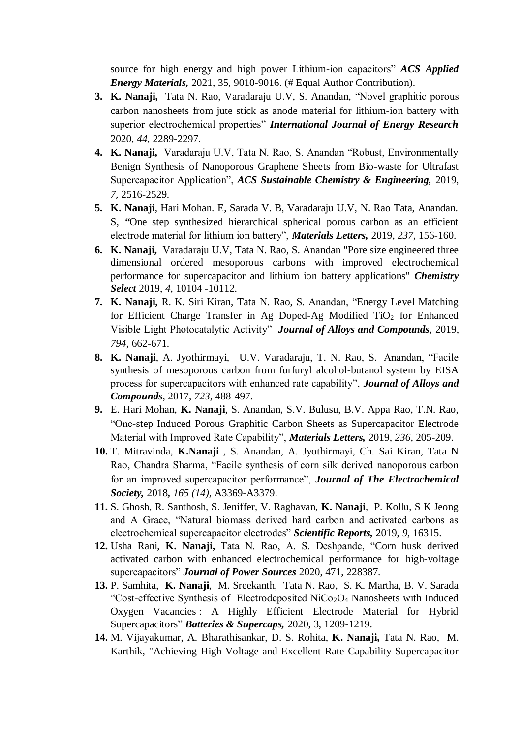source for high energy and high power Lithium-ion capacitors" *ACS Applied Energy Materials,* 2021, 35, 9010-9016. (# Equal Author Contribution).

- **3. K. Nanaji,** Tata N. Rao, Varadaraju U.V, S. Anandan, "Novel graphitic porous carbon nanosheets from jute stick as anode material for lithium-ion battery with superior electrochemical properties" *International Journal of Energy Research*  2020, *44,* 2289-2297.
- **4. K. Nanaji,** Varadaraju U.V, Tata N. Rao, S. Anandan "Robust, Environmentally Benign Synthesis of Nanoporous Graphene Sheets from Bio-waste for Ultrafast Supercapacitor Application", *ACS Sustainable Chemistry & Engineering,* 2019, *7,* 2516-2529.
- **5. K. Nanaji**, Hari Mohan. E, Sarada V. B, Varadaraju U.V, N. Rao Tata, Anandan. S, *"*One step synthesized hierarchical spherical porous carbon as an efficient electrode material for lithium ion battery", *Materials Letters,* 2019, *237,* 156-160.
- **6. K. Nanaji,** Varadaraju U.V, Tata N. Rao, S. Anandan "Pore size engineered three dimensional ordered mesoporous carbons with improved electrochemical performance for supercapacitor and lithium ion battery applications" *Chemistry Select* 2019, *4*, 10104 -10112.
- **7. K. Nanaji,** R. K. Siri Kiran, Tata N. Rao, S. Anandan, "Energy Level Matching for Efficient Charge Transfer in Ag Doped-Ag Modified TiO<sub>2</sub> for Enhanced Visible Light Photocatalytic Activity" *Journal of Alloys and Compounds,* 2019, *794,* 662-671.
- **8. K. Nanaji**, A. Jyothirmayi, U.V. Varadaraju, T. N. Rao, S. Anandan, "Facile synthesis of mesoporous carbon from furfuryl alcohol-butanol system by EISA process for supercapacitors with enhanced rate capability", *Journal of Alloys and Compounds*, 2017, *723,* 488-497.
- **9.** E. Hari Mohan, **K. Nanaji**, S. Anandan, S.V. Bulusu, B.V. Appa Rao, T.N. Rao, "One-step Induced Porous Graphitic Carbon Sheets as Supercapacitor Electrode Material with Improved Rate Capability", *Materials Letters,* 2019, *236,* 205-209.
- **10.** T. Mitravinda, **K.Nanaji** , S. Anandan, A. Jyothirmayi, Ch. Sai Kiran, Tata N Rao, Chandra Sharma, "Facile synthesis of corn silk derived nanoporous carbon for an improved supercapacitor performance", *Journal of The Electrochemical Society,* 2018*, 165 (14),* A3369-A3379.
- **11.** S. Ghosh, R. Santhosh, S. Jeniffer, V. Raghavan, **K. Nanaji**, P. Kollu, S K Jeong and A Grace, "Natural biomass derived hard carbon and activated carbons as electrochemical supercapacitor electrodes" *Scientific Reports,* 2019, *9,* 16315.
- **12.** Usha Rani, **K. Nanaji,** Tata N. Rao, A. S. Deshpande, "Corn husk derived activated carbon with enhanced electrochemical performance for high-voltage supercapacitors" *Journal of Power Sources* 2020, 471, 228387.
- **13.** P. Samhita, **K. Nanaji**, M. Sreekanth, Tata N. Rao, S. K. Martha, B. V. Sarada "Cost-effective Synthesis of Electrodeposited NiCo<sub>2</sub>O<sub>4</sub> Nanosheets with Induced Oxygen Vacancies : A Highly Efficient Electrode Material for Hybrid Supercapacitors" *Batteries & Supercaps,* 2020, 3, 1209-1219.
- **14.** M. Vijayakumar, A. Bharathisankar, D. S. Rohita, **K. Nanaji,** Tata N. Rao, M. Karthik, "Achieving High Voltage and Excellent Rate Capability Supercapacitor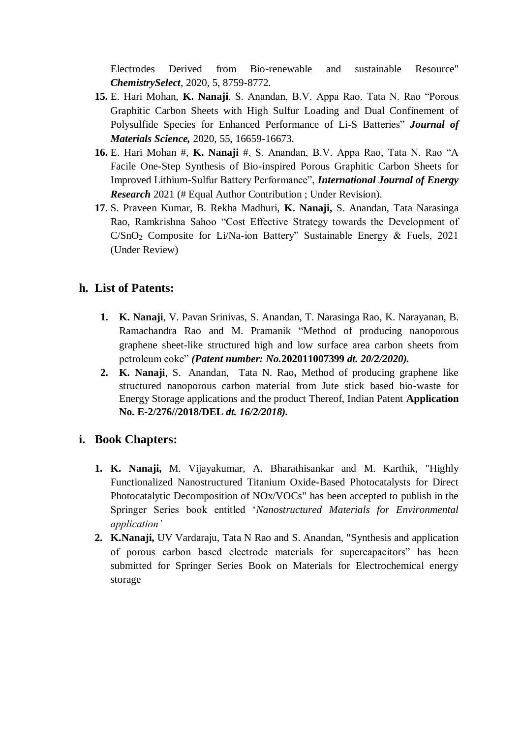Electrodes Derived from Bio-renewable and sustainable Resource" *ChemistrySelect,* 2020, 5, 8759-8772.

- **15.** E. Hari Mohan, **K. Nanaji**, S. Anandan, B.V. Appa Rao, Tata N. Rao "Porous Graphitic Carbon Sheets with High Sulfur Loading and Dual Confinement of Polysulfide Species for Enhanced Performance of Li-S Batteries" *Journal of Materials Science,* 2020, 55, 16659-16673.
- **16.** E. Hari Mohan #, **K. Nanaji** #, S. Anandan, B.V. Appa Rao, Tata N. Rao "A Facile One-Step Synthesis of Bio-inspired Porous Graphitic Carbon Sheets for Improved Lithium-Sulfur Battery Performance", *International Journal of Energy Research* 2021 (# Equal Author Contribution ; Under Revision).
- **17.** S. Praveen Kumar, B. Rekha Madhuri, **K. Nanaji,** S. Anandan, Tata Narasinga Rao, Ramkrishna Sahoo "Cost Effective Strategy towards the Development of C/SnO<sup>2</sup> Composite for Li/Na-ion Battery" Sustainable Energy & Fuels, 2021 (Under Review)

# **h. List of Patents:**

- **1. K. Nanaji**, V. Pavan Srinivas, S. Anandan, T. Narasinga Rao, K. Narayanan, B. Ramachandra Rao and M. Pramanik "Method of producing nanoporous graphene sheet-like structured high and low surface area carbon sheets from petroleum coke" *(Patent number: No.***202011007399** *dt. 20/2/2020).*
- **2. K. Nanaji**, S. Anandan, Tata N. Rao**,** Method of producing graphene like structured nanoporous carbon material from Jute stick based bio-waste for Energy Storage applications and the product Thereof, Indian Patent **Application No. E-2/276//2018/DEL** *dt. 16/2/2018).*

# **i. Book Chapters:**

- **1. K. Nanaji,** M. Vijayakumar, A. Bharathisankar and M. Karthik, "Highly Functionalized Nanostructured Titanium Oxide-Based Photocatalysts for Direct Photocatalytic Decomposition of NOx/VOCs" has been accepted to publish in the Springer Series book entitled '*Nanostructured Materials for Environmental application'*
- **2. K.Nanaji,** UV Vardaraju, Tata N Rao and S. Anandan, "Synthesis and application of porous carbon based electrode materials for supercapacitors" has been submitted for Springer Series Book on Materials for Electrochemical energy storage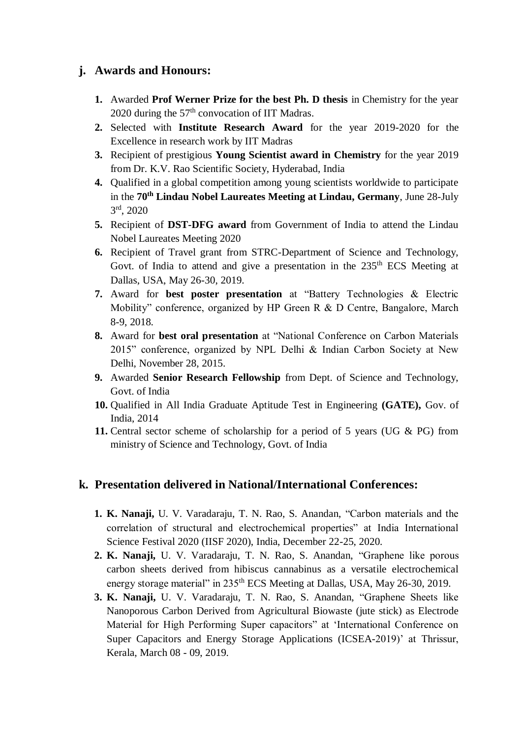## **j. Awards and Honours:**

- **1.** Awarded **Prof Werner Prize for the best Ph. D thesis** in Chemistry for the year 2020 during the  $57<sup>th</sup>$  convocation of IIT Madras.
- **2.** Selected with **Institute Research Award** for the year 2019-2020 for the Excellence in research work by IIT Madras
- **3.** Recipient of prestigious **Young Scientist award in Chemistry** for the year 2019 from Dr. K.V. Rao Scientific Society, Hyderabad, India
- **4.** Qualified in a global competition among young scientists worldwide to participate in the **70th Lindau Nobel Laureates Meeting at Lindau, Germany**, June 28-July 3 rd, 2020
- **5.** Recipient of **DST-DFG award** from Government of India to attend the Lindau Nobel Laureates Meeting 2020
- **6.** Recipient of Travel grant from STRC-Department of Science and Technology, Govt. of India to attend and give a presentation in the  $235<sup>th</sup> ECS$  Meeting at Dallas, USA, May 26-30, 2019.
- **7.** Award for **best poster presentation** at "Battery Technologies & Electric Mobility" conference, organized by HP Green R & D Centre, Bangalore, March 8-9, 2018.
- **8.** Award for **best oral presentation** at "National Conference on Carbon Materials 2015" conference, organized by NPL Delhi & Indian Carbon Society at New Delhi, November 28, 2015.
- **9.** Awarded **Senior Research Fellowship** from Dept. of Science and Technology, Govt. of India
- **10.** Qualified in All India Graduate Aptitude Test in Engineering **(GATE),** Gov. of India, 2014
- **11.** Central sector scheme of scholarship for a period of 5 years (UG & PG) from ministry of Science and Technology, Govt. of India

## **k. Presentation delivered in National/International Conferences:**

- **1. K. Nanaji,** U. V. Varadaraju, T. N. Rao, S. Anandan, "Carbon materials and the correlation of structural and electrochemical properties" at India International Science Festival 2020 (IISF 2020), India, December 22-25, 2020.
- **2. K. Nanaji,** U. V. Varadaraju, T. N. Rao, S. Anandan, "Graphene like porous carbon sheets derived from hibiscus cannabinus as a versatile electrochemical energy storage material" in 235<sup>th</sup> ECS Meeting at Dallas, USA, May 26-30, 2019.
- **3. K. Nanaji,** U. V. Varadaraju, T. N. Rao, S. Anandan, "Graphene Sheets like Nanoporous Carbon Derived from Agricultural Biowaste (jute stick) as Electrode Material for High Performing Super capacitors" at 'International Conference on Super Capacitors and Energy Storage Applications (ICSEA-2019)' at Thrissur, Kerala, March 08 - 09, 2019.